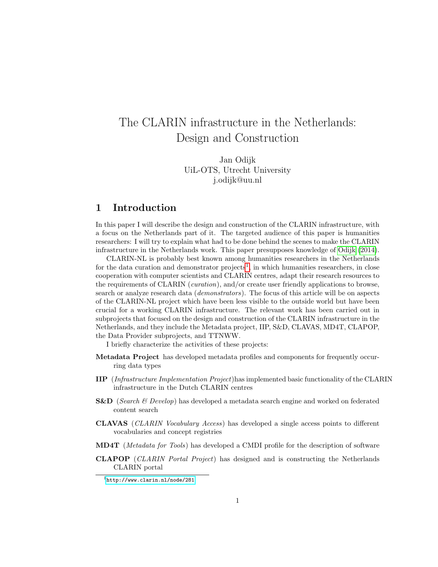# The CLARIN infrastructure in the Netherlands: Design and Construction

Jan Odijk UiL-OTS, Utrecht University j.odijk@uu.nl

# 1 Introduction

In this paper I will describe the design and construction of the CLARIN infrastructure, with a focus on the Netherlands part of it. The targeted audience of this paper is humanities researchers: I will try to explain what had to be done behind the scenes to make the CLARIN infrastructure in the Netherlands work. This paper presupposes knowledge of [Odijk](#page-26-0) [\(2014\)](#page-26-0).

CLARIN-NL is probably best known among humanities researchers in the Netherlands for the data curation and demonstrator projects<sup>[1](#page-0-0)</sup>, in which humanities researchers, in close cooperation with computer scientists and CLARIN centres, adapt their research resources to the requirements of CLARIN (curation), and/or create user friendly applications to browse, search or analyze research data (demonstrators). The focus of this article will be on aspects of the CLARIN-NL project which have been less visible to the outside world but have been crucial for a working CLARIN infrastructure. The relevant work has been carried out in subprojects that focused on the design and construction of the CLARIN infrastructure in the Netherlands, and they include the Metadata project, IIP, S&D, CLAVAS, MD4T, CLAPOP, the Data Provider subprojects, and TTNWW.

I briefly characterize the activities of these projects:

- Metadata Project has developed metadata profiles and components for frequently occurring data types
- IIP (Infrastructure Implementation Project)has implemented basic functionality of the CLARIN infrastructure in the Dutch CLARIN centres
- **S&D** (Search  $\&$  Develop) has developed a metadata search engine and worked on federated content search
- CLAVAS (CLARIN Vocabulary Access) has developed a single access points to different vocabularies and concept registries
- MD4T (Metadata for Tools) has developed a CMDI profile for the description of software
- CLAPOP (CLARIN Portal Project) has designed and is constructing the Netherlands CLARIN portal

<span id="page-0-0"></span><sup>1</sup><http://www.clarin.nl/node/281>.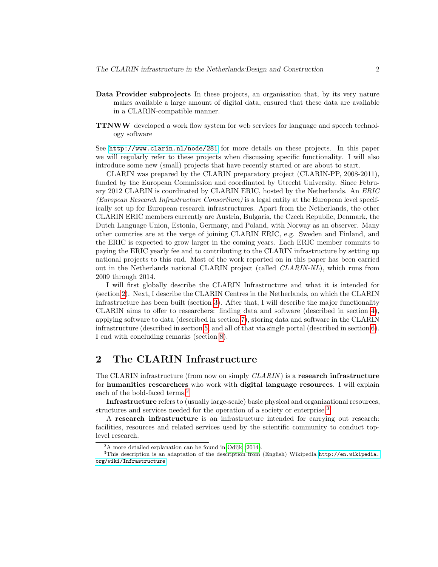- Data Provider subprojects In these projects, an organisation that, by its very nature makes available a large amount of digital data, ensured that these data are available in a CLARIN-compatible manner.
- TTNWW developed a work flow system for web services for language and speech technology software

See <http://www.clarin.nl/node/281> for more details on these projects. In this paper we will regularly refer to these projects when discussing specific functionality. I will also introduce some new (small) projects that have recently started or are about to start.

CLARIN was prepared by the CLARIN preparatory project (CLARIN-PP, 2008-2011), funded by the European Commission and coordinated by Utrecht University. Since February 2012 CLARIN is coordinated by CLARIN ERIC, hosted by the Netherlands. An ERIC (European Research Infrastructure Consortium) is a legal entity at the European level specifically set up for European research infrastructures. Apart from the Netherlands, the other CLARIN ERIC members currently are Austria, Bulgaria, the Czech Republic, Denmark, the Dutch Language Union, Estonia, Germany, and Poland, with Norway as an observer. Many other countries are at the verge of joining CLARIN ERIC, e.g. Sweden and Finland, and the ERIC is expected to grow larger in the coming years. Each ERIC member commits to paying the ERIC yearly fee and to contributing to the CLARIN infrastructure by setting up national projects to this end. Most of the work reported on in this paper has been carried out in the Netherlands national CLARIN project (called CLARIN-NL), which runs from 2009 through 2014.

I will first globally describe the CLARIN Infrastructure and what it is intended for (section [2\)](#page-1-0). Next, I describe the CLARIN Centres in the Netherlands, on which the CLARIN Infrastructure has been built (section [3\)](#page-3-0). After that, I will describe the major functionality CLARIN aims to offer to researchers: finding data and software (described in section [4\)](#page-4-0), applying software to data (described in section [7\)](#page-20-0), storing data and software in the CLARIN infrastructure (described in section [5,](#page-12-0) and all of that via single portal (described in section [6\)](#page-19-0). I end with concluding remarks (section [8\)](#page-25-0).

# <span id="page-1-0"></span>2 The CLARIN Infrastructure

The CLARIN infrastructure (from now on simply  $CLARIN$ ) is a research infrastructure for humanities researchers who work with digital language resources. I will explain each of the bold-faced terms.<sup>[2](#page-1-1)</sup>

Infrastructure refers to (usually large-scale) basic physical and organizational resources, structures and services needed for the operation of a society or enterprise.<sup>[3](#page-1-2)</sup>

A research infrastructure is an infrastructure intended for carrying out research: facilities, resources and related services used by the scientific community to conduct toplevel research.

<span id="page-1-2"></span><span id="page-1-1"></span><sup>2</sup>A more detailed explanation can be found in [Odijk](#page-26-0) [\(2014\)](#page-26-0).

 $3$ This description is an adaptation of the description from (English) Wikipedia [http://en.wikipedia.](http://en.wikipedia.org/wiki/Infrastructure) [org/wiki/Infrastructure](http://en.wikipedia.org/wiki/Infrastructure).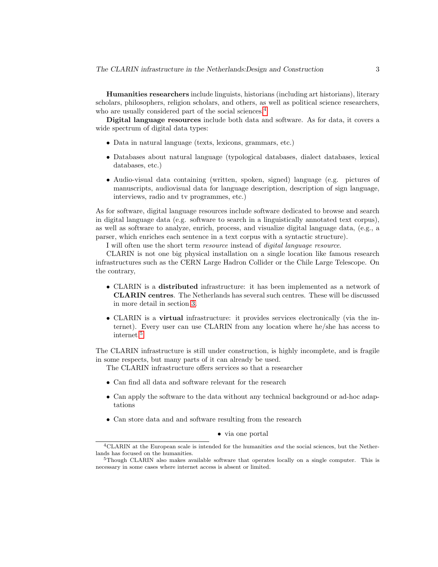Humanities researchers include linguists, historians (including art historians), literary scholars, philosophers, religion scholars, and others, as well as political science researchers, who are usually considered part of the social sciences.<sup>[4](#page-2-0)</sup>

Digital language resources include both data and software. As for data, it covers a wide spectrum of digital data types:

- Data in natural language (texts, lexicons, grammars, etc.)
- Databases about natural language (typological databases, dialect databases, lexical databases, etc.)
- Audio-visual data containing (written, spoken, signed) language (e.g. pictures of manuscripts, audiovisual data for language description, description of sign language, interviews, radio and tv programmes, etc.)

As for software, digital language resources include software dedicated to browse and search in digital language data (e.g. software to search in a linguistically annotated text corpus), as well as software to analyze, enrich, process, and visualize digital language data, (e.g., a parser, which enriches each sentence in a text corpus with a syntactic structure).

I will often use the short term resource instead of digital language resource.

CLARIN is not one big physical installation on a single location like famous research infrastructures such as the CERN Large Hadron Collider or the Chile Large Telescope. On the contrary,

- CLARIN is a distributed infrastructure: it has been implemented as a network of CLARIN centres. The Netherlands has several such centres. These will be discussed in more detail in section [3.](#page-3-0)
- CLARIN is a virtual infrastructure: it provides services electronically (via the internet). Every user can use CLARIN from any location where he/she has access to internet.[5](#page-2-1)

The CLARIN infrastructure is still under construction, is highly incomplete, and is fragile in some respects, but many parts of it can already be used.

The CLARIN infrastructure offers services so that a researcher

- Can find all data and software relevant for the research
- Can apply the software to the data without any technical background or ad-hoc adaptations
- Can store data and and software resulting from the research

#### • via one portal

<span id="page-2-0"></span><sup>&</sup>lt;sup>4</sup>CLARIN at the European scale is intended for the humanities and the social sciences, but the Netherlands has focused on the humanities.

<span id="page-2-1"></span><sup>5</sup>Though CLARIN also makes available software that operates locally on a single computer. This is necessary in some cases where internet access is absent or limited.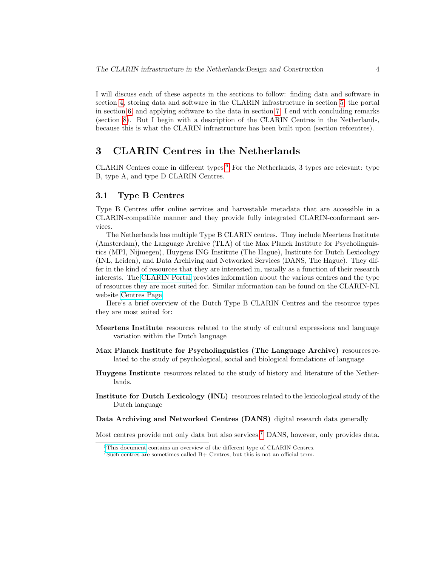I will discuss each of these aspects in the sections to follow: finding data and software in section [4,](#page-4-0) storing data and software in the CLARIN infrastructure in section [5,](#page-12-0) the portal in section [6,](#page-19-0) and applying software to the data in section [7.](#page-20-0) I end with concluding remarks (section [8\)](#page-25-0). But I begin with a description of the CLARIN Centres in the Netherlands, because this is what the CLARIN infrastructure has been built upon (section refcentres).

# <span id="page-3-0"></span>3 CLARIN Centres in the Netherlands

CLARIN Centres come in different types.<sup>[6](#page-3-1)</sup> For the Netherlands, 3 types are relevant: type B, type A, and type D CLARIN Centres.

### 3.1 Type B Centres

Type B Centres offer online services and harvestable metadata that are accessible in a CLARIN-compatible manner and they provide fully integrated CLARIN-conformant services.

The Netherlands has multiple Type B CLARIN centres. They include Meertens Institute (Amsterdam), the Language Archive (TLA) of the Max Planck Institute for Psycholinguistics (MPI, Nijmegen), Huygens ING Institute (The Hague), Institute for Dutch Lexicology (INL, Leiden), and Data Archiving and Networked Services (DANS, The Hague). They differ in the kind of resources that they are interested in, usually as a function of their research interests. The [CLARIN Portal](http://dev.clarin.nl) provides information about the various centres and the type of resources they are most suited for. Similar information can be found on the CLARIN-NL website [Centres Page.](http://www.clarin.nl/node/130)

Here's a brief overview of the Dutch Type B CLARIN Centres and the resource types they are most suited for:

- Meertens Institute resources related to the study of cultural expressions and language variation within the Dutch language
- Max Planck Institute for Psycholinguistics (The Language Archive) resources related to the study of psychological, social and biological foundations of language
- Huygens Institute resources related to the study of history and literature of the Netherlands.
- Institute for Dutch Lexicology (INL) resources related to the lexicological study of the Dutch language
- Data Archiving and Networked Centres (DANS) digital research data generally

Most centres provide not only data but also services.[7](#page-3-2) DANS, however, only provides data.

<span id="page-3-1"></span> $6$ [This document](http://www.clarin.eu/sites/default/files/wg2-1-center-types-doc-v5.pdf) contains an overview of the different type of CLARIN Centres.

<span id="page-3-2"></span> $7$ Such centres are sometimes called B+ Centres, but this is not an official term.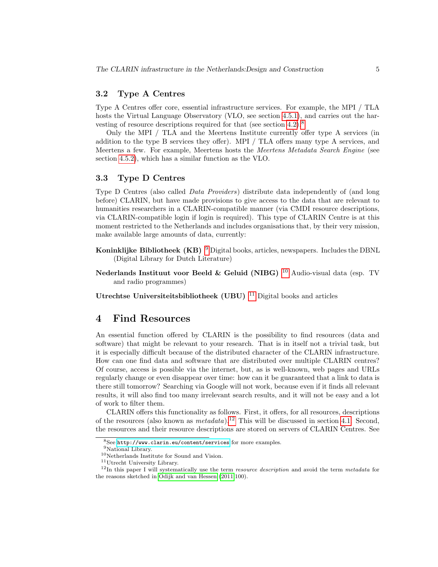### 3.2 Type A Centres

Type A Centres offer core, essential infrastructure services. For example, the MPI / TLA hosts the Virtual Language Observatory (VLO, see section [4.5.1\)](#page-11-0), and carries out the harvesting of resource descriptions required for that (see section [4.2\)](#page-8-0).[8](#page-4-1)

Only the MPI / TLA and the Meertens Institute currently offer type A services (in addition to the type B services they offer). MPI / TLA offers many type A services, and Meertens a few. For example, Meertens hosts the Meertens Metadata Search Engine (see section [4.5.2\)](#page-12-1), which has a similar function as the VLO.

### 3.3 Type D Centres

Type D Centres (also called *Data Providers*) distribute data independently of (and long before) CLARIN, but have made provisions to give access to the data that are relevant to humanities researchers in a CLARIN-compatible manner (via CMDI resource descriptions, via CLARIN-compatible login if login is required). This type of CLARIN Centre is at this moment restricted to the Netherlands and includes organisations that, by their very mission, make available large amounts of data, currently:

- Koninklijke Bibliotheek (KB) [9](#page-4-2) Digital books, articles, newspapers. Includes the DBNL (Digital Library for Dutch Literature)
- Nederlands Instituut voor Beeld & Geluid (NIBG)  $^{10}$  $^{10}$  $^{10}$  Audio-visual data (esp. TV and radio programmes)
- Utrechtse Universiteitsbibliotheek (UBU)  $11$  Digital books and articles

# <span id="page-4-0"></span>4 Find Resources

An essential function offered by CLARIN is the possibility to find resources (data and software) that might be relevant to your research. That is in itself not a trivial task, but it is especially difficult because of the distributed character of the CLARIN infrastructure. How can one find data and software that are distributed over multiple CLARIN centres? Of course, access is possible via the internet, but, as is well-known, web pages and URLs regularly change or even disappear over time: how can it be guaranteed that a link to data is there still tomorrow? Searching via Google will not work, because even if it finds all relevant results, it will also find too many irrelevant search results, and it will not be easy and a lot of work to filter them.

CLARIN offers this functionality as follows. First, it offers, for all resources, descriptions of the resources (also known as  $metadata$ ).<sup>[12](#page-4-5)</sup> This will be discussed in section [4.1.](#page-5-0) Second, the resources and their resource descriptions are stored on servers of CLARIN Centres. See

<span id="page-4-1"></span> $8$ See <http://www.clarin.eu/content/services> for more examples.

<span id="page-4-2"></span> $^9\rm{National\ Library.}$ 

<span id="page-4-3"></span> $^{10}\rm{Netherlands}$  Institute for Sound and Vision.

<span id="page-4-5"></span><span id="page-4-4"></span><sup>11</sup>Utrecht University Library.

 $12$ In this paper I will systematically use the term *resource description* and avoid the term *metadata* for the reasons sketched in [Odijk and van Hessen](#page-25-1) [\(2011:](#page-25-1)100).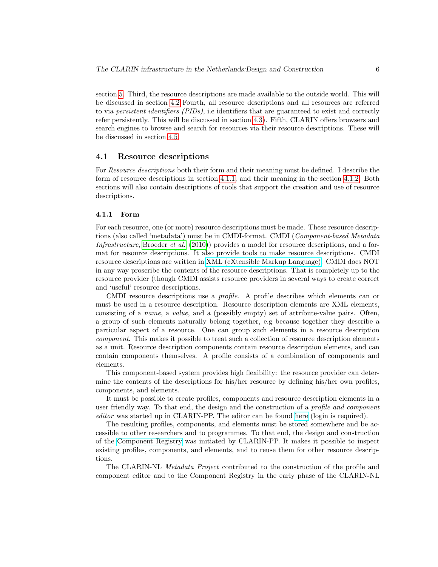section [5.](#page-12-0) Third, the resource descriptions are made available to the outside world. This will be discussed in section [4.2](#page-8-0) Fourth, all resource descriptions and all resources are referred to via persistent identifiers (PIDs), i.e identifiers that are guaranteed to exist and correctly refer persistently. This will be discussed in section [4.3\)](#page-9-0). Fifth, CLARIN offers browsers and search engines to browse and search for resources via their resource descriptions. These will be discussed in section [4.5.](#page-11-1)

### <span id="page-5-0"></span>4.1 Resource descriptions

For Resource descriptions both their form and their meaning must be defined. I describe the form of resource descriptions in section [4.1.1,](#page-5-1) and their meaning in the section [4.1.2.](#page-7-0) Both sections will also contain descriptions of tools that support the creation and use of resource descriptions.

#### <span id="page-5-1"></span>4.1.1 Form

For each resource, one (or more) resource descriptions must be made. These resource descriptions (also called 'metadata') must be in CMDI-format. CMDI (Component-based Metadata Infrastructure, [Broeder](#page-25-2) et al. [\(2010\)](#page-25-2)) provides a model for resource descriptions, and a format for resource descriptions. It also provide tools to make resource descriptions. CMDI resource descriptions are written in [XML \(eXtensible Markup Language\).](http://www.w3.org/XML/) CMDI does NOT in any way proscribe the contents of the resource descriptions. That is completely up to the resource provider (though CMDI assists resource providers in several ways to create correct and 'useful' resource descriptions.

CMDI resource descriptions use a profile. A profile describes which elements can or must be used in a resource description. Resource description elements are XML elements, consisting of a name, a value, and a (possibly empty) set of attribute-value pairs. Often, a group of such elements naturally belong together, e.g because together they describe a particular aspect of a resource. One can group such elements in a resource description component. This makes it possible to treat such a collection of resource description elements as a unit. Resource description components contain resource description elements, and can contain components themselves. A profile consists of a combination of components and elements.

This component-based system provides high flexibility: the resource provider can determine the contents of the descriptions for his/her resource by defining his/her own profiles, components, and elements.

It must be possible to create profiles, components and resource description elements in a user friendly way. To that end, the design and the construction of a profile and component editor was started up in CLARIN-PP. The editor can be found [here](http://catalog.clarin.eu/ds/ComponentRegistry/) (login is required).

The resulting profiles, components, and elements must be stored somewhere and be accessible to other researchers and to programmes. To that end, the design and construction of the [Component Registry](http://catalog.clarin.eu/ds/ComponentRegistry/) was initiated by CLARIN-PP. It makes it possible to inspect existing profiles, components, and elements, and to reuse them for other resource descriptions.

The CLARIN-NL Metadata Project contributed to the construction of the profile and component editor and to the Component Registry in the early phase of the CLARIN-NL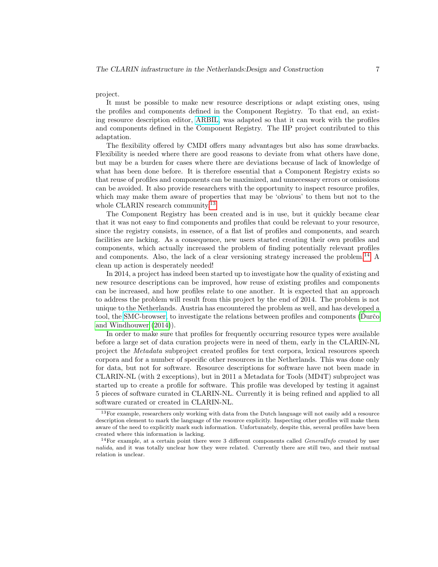#### project.

It must be possible to make new resource descriptions or adapt existing ones, using the profiles and components defined in the Component Registry. To that end, an existing resource description editor, [ARBIL,](http://tla.mpi.nl/tools/tla-tools/arbil/) was adapted so that it can work with the profiles and components defined in the Component Registry. The IIP project contributed to this adaptation.

The flexibility offered by CMDI offers many advantages but also has some drawbacks. Flexibility is needed where there are good reasons to deviate from what others have done, but may be a burden for cases where there are deviations because of lack of knowledge of what has been done before. It is therefore essential that a Component Registry exists so that reuse of profiles and components can be maximized, and unnecessary errors or omissions can be avoided. It also provide researchers with the opportunity to inspect resource profiles, which may make them aware of properties that may be 'obvious' to them but not to the whole CLARIN research community.<sup>[13](#page-6-0)</sup>

The Component Registry has been created and is in use, but it quickly became clear that it was not easy to find components and profiles that could be relevant to your resource, since the registry consists, in essence, of a flat list of profiles and components, and search facilities are lacking. As a consequence, new users started creating their own profiles and components, which actually increased the problem of finding potentially relevant profiles and components. Also, the lack of a clear versioning strategy increased the problem.<sup>[14](#page-6-1)</sup> A clean up action is desperately needed!

In 2014, a project has indeed been started up to investigate how the quality of existing and new resource descriptions can be improved, how reuse of existing profiles and components can be increased, and how profiles relate to one another. It is expected that an approach to address the problem will result from this project by the end of 2014. The problem is not unique to the Netherlands. Austria has encountered the problem as well, and has developed a tool, the [SMC-browser,](http://clarin.oeaw.ac.at/smc-browser) to investigate the relations between profiles and components (Durčo [and Windhouwer](#page-26-1) [\(2014\)](#page-26-1)).

In order to make sure that profiles for frequently occurring resource types were available before a large set of data curation projects were in need of them, early in the CLARIN-NL project the Metadata subproject created profiles for text corpora, lexical resources speech corpora and for a number of specific other resources in the Netherlands. This was done only for data, but not for software. Resource descriptions for software have not been made in CLARIN-NL (with 2 exceptions), but in 2011 a Metadata for Tools (MD4T) subproject was started up to create a profile for software. This profile was developed by testing it against 5 pieces of software curated in CLARIN-NL. Currently it is being refined and applied to all software curated or created in CLARIN-NL.

<span id="page-6-0"></span><sup>&</sup>lt;sup>13</sup>For example, researchers only working with data from the Dutch language will not easily add a resource description element to mark the language of the resource explicitly. Inspecting other profiles will make them aware of the need to explicitly mark such information. Unfortunately, despite this, several profiles have been created where this information is lacking.

<span id="page-6-1"></span> $14$  For example, at a certain point there were 3 different components called GeneralInfo created by user nalida, and it was totally unclear how they were related. Currently there are still two, and their mutual relation is unclear.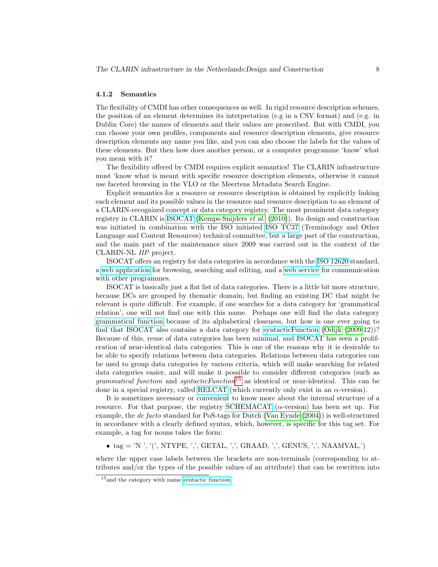#### <span id="page-7-0"></span>4.1.2 Semantics

The flexibility of CMDI has other consequences as well. In rigid resource description schemes, the position of an element determines its interpretation (e.g in a CSV format) and (e.g. in Dublin Core) the names of elements and their values are proscribed. But with CMDI, you can choose your own profiles, components and resource description elements, give resource description elements any name you like, and you can also choose the labels for the values of these elements. But then how does another person, or a computer programme 'know' what you mean with it?

The flexibility offered by CMDI requires explicit semantics! The CLARIN infrastructure must 'know what is meant with specific resource description elements, otherwise it cannot use faceted browsing in the VLO or the Meertens Metadata Search Engine.

Explicit semantics for a resource or resource description is obtained by explicitly linking each element and its possible values in the resource and resource description to an element of a CLARIN-recognized concept or data category registry. The most prominent data category registry in CLARIN is [ISOCAT](http://www.isocat.org/) [\(Kemps-Snijders](#page-25-3) et al. [\(2010\)](#page-25-3)). Its design and construction was initiated in combination with the ISO initiated [ISO TC37](http://www.iso.org/iso/iso_technical_committee.html%3Fcommid%3D48104) (Terminology and Other Language and Content Resources) technical committee, but a large part of the construction, and the main part of the maintenance since 2009 was carried out in the context of the CLARIN-NL IIP project.

ISOCAT offers an registry for data categories in accordance with the [ISO 12620](http://www.isocat.org/files/12620.html) standard, a [web application](https://catalog.clarin.eu/isocat/interface/index.html) for browsing, searching and editing, and a [web service](https://catalog.clarin.eu/isocat/rest/help.html) for communication with other programmes.

ISOCAT is basically just a flat list of data categories. There is a little bit more structure, because DCs are grouped by thematic domain, but finding an existing DC that might be relevant is quite difficult. For example, if one searches for a data category for 'grammatical relation', one will not find one with this name. Perhaps one will find the data category [grammatical function](http://www.isocat.org/datcat/DC-1296) because of its alphabetical closeness, but how is one ever going to find that ISOCAT also contains a data category for [syntacticFunction](http://www.isocat.org/datcat/DC-1507) [\(Odijk](#page-25-4) [\(2009:](#page-25-4)12))? Because of this, reuse of data categories has been minimal, and ISOCAT has seen a proliferation of near-identical data categories. This is one of the reasons why it is desirable to be able to specify relations between data categories. Relations between data categories can be used to group data categories by various criteria, which will make searching for related data categories easier, and will make it possible to consider different categories (such as *grammatical function* and *syntacticFunction*<sup>[15](#page-7-1)</sup> as identical or near-identical. This can be done in a special registry, called [RELCAT](http://lux13.mpi.nl/relcat/) (which currently only exist in an  $\alpha$ -version).

It is sometimes necessary or convenient to know more about the internal structure of a resource. For that purpose, the registry [SCHEMACAT](http://lux13.mpi.nl/schemacat/schema/CGN)  $(\alpha$ -version) has been set up. For example, the de facto standard for PoS-tags for Dutch [\(Van Eynde](#page-26-2) [\(2004\)](#page-26-2)) is well-structured in accordance with a clearly defined syntax, which, however, is specific for this tag set. For example, a tag for nouns takes the form:

• tag = 'N ', '(', NTYPE, ',', GETAL, ',', GRAAD, ',', GENUS, ',', NAAMVAL,')

where the upper case labels between the brackets are non-terminals (corresponding to attributes and/or the types of the possible values of an attribute) that can be rewritten into

<span id="page-7-1"></span><sup>&</sup>lt;sup>15</sup> and the category with name [syntactic function.](http://www.isocat.org/datcat/DC-2244)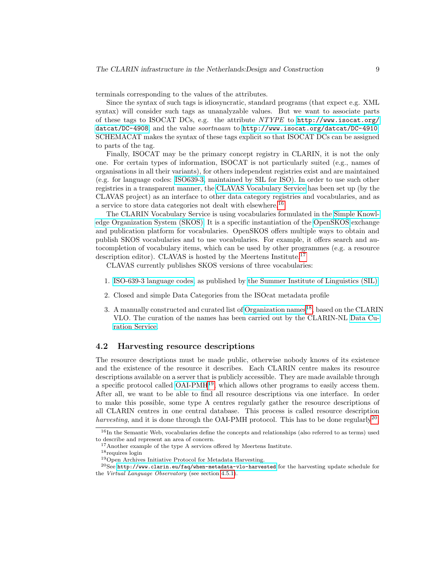terminals corresponding to the values of the attributes.

Since the syntax of such tags is idiosyncratic, standard programs (that expect e.g. XML syntax) will consider such tags as unanalyzable values. But we want to associate parts of these tags to ISOCAT DCs, e.g. the attribute NTYPE to [http://www.isocat.org/](http://www.isocat.org/datcat/DC-4908) [datcat/DC-4908](http://www.isocat.org/datcat/DC-4908), and the value soortnaam to <http://www.isocat.org/datcat/DC-4910>. SCHEMACAT makes the syntax of these tags explicit so that ISOCAT DCs can be assigned to parts of the tag.

Finally, ISOCAT may be the primary concept registry in CLARIN, it is not the only one. For certain types of information, ISOCAT is not particularly suited (e.g., names of organisations in all their variants), for others independent registries exist and are maintained (e.g. for language codes: [ISO639-3,](http://www-01.sil.org/iso639-3/codes.asp) maintained by SIL for ISO). In order to use such other registries in a transparent manner, the [CLAVAS Vocabulary Service](http://openskos.meertens.knaw.nl/) has been set up (by the CLAVAS project) as an interface to other data category registries and vocabularies, and as a service to store data categories not dealt with elsewhere.[16](#page-8-1)

The CLARIN Vocabulary Service is using vocabularies formulated in the [Simple Knowl](http://www.w3.org/2004/02/skos/)[edge Organization System \(SKOS\).](http://www.w3.org/2004/02/skos/) It is a specific instantiation of the [OpenSKOS](http://openskos.org/) exchange and publication platform for vocabularies. OpenSKOS offers multiple ways to obtain and publish SKOS vocabularies and to use vocabularies. For example, it offers search and autocompletion of vocabulary items, which can be used by other programmes (e.g. a resource description editor). CLAVAS is hosted by the Meertens Institute.<sup>[17](#page-8-2)</sup>

CLAVAS currently publishes SKOS versions of three vocabularies:

- 1. [ISO-639-3 language codes,](http://www.iso.org/iso/home/standards/language_codes.htm) as published by [the Summer Institute of Linguistics \(SIL\).](http://www-01.sil.org/iso639-3/)
- 2. Closed and simple Data Categories from the ISOcat metadata profile
- 3. A manually constructed and curated list of [Organization names](https://openskos.meertens.knaw.nl/editor)<sup>[18](#page-8-3)</sup>, based on the CLARIN VLO. The curation of the names has been carried out by the CLARIN-NL [Data Cu](http://www.clarin.nl/node/147)[ration Service.](http://www.clarin.nl/node/147)

### <span id="page-8-0"></span>4.2 Harvesting resource descriptions

The resource descriptions must be made public, otherwise nobody knows of its existence and the existence of the resource it describes. Each CLARIN centre makes its resource descriptions available on a server that is publicly accessible. They are made available through a specific protocol called  $OAI-PMH<sup>19</sup>$  $OAI-PMH<sup>19</sup>$  $OAI-PMH<sup>19</sup>$ , which allows other programs to easily access them. After all, we want to be able to find all resource descriptions via one interface. In order to make this possible, some type A centres regularly gather the resource descriptions of all CLARIN centres in one central database. This process is called resource description harvesting, and it is done through the OAI-PMH protocol. This has to be done regularly<sup>[20](#page-8-5)</sup>,

<span id="page-8-1"></span><sup>&</sup>lt;sup>16</sup>In the Semantic Web, vocabularies define the concepts and relationships (also referred to as terms) used to describe and represent an area of concern.

<span id="page-8-2"></span><sup>&</sup>lt;sup>17</sup>Another example of the type A services offered by Meertens Institute.

<span id="page-8-3"></span> $18$  requires login

<span id="page-8-5"></span><span id="page-8-4"></span><sup>19</sup>Open Archives Initiative Protocol for Metadata Harvesting.

<sup>20</sup>See <http://www.clarin.eu/faq/when-metadata-vlo-harvested> for the harvesting update schedule for the Virtual Language Observatory (see section [4.5.1\)](#page-11-0).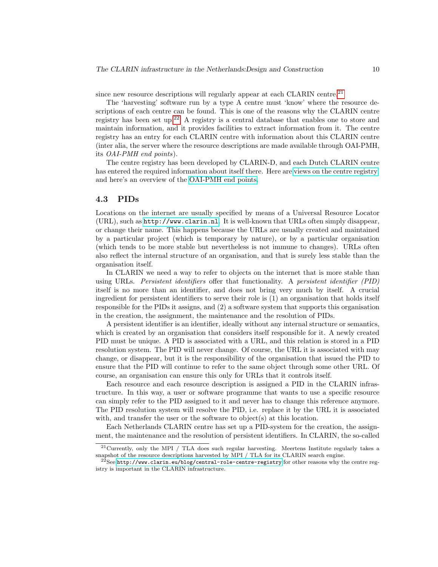since new resource descriptions will regularly appear at each CLARIN centre.<sup>[21](#page-9-1)</sup>

The 'harvesting' software run by a type A centre must 'know' where the resource descriptions of each centre can be found. This is one of the reasons why the CLARIN centre registry has been set up.<sup>[22](#page-9-2)</sup> A registry is a central database that enables one to store and maintain information, and it provides facilities to extract information from it. The centre registry has an entry for each CLARIN centre with information about this CLARIN centre (inter alia, the server where the resource descriptions are made available through OAI-PMH, its OAI-PMH end points).

The centre registry has been developed by CLARIN-D, and each Dutch CLARIN centre has entered the required information about itself there. Here are [views on the centre registry,](https://centerregistry-clarin.esc.rzg.mpg.de/) and here's an overview of the [OAI-PMH end points.](https://centerregistry-clarin.esc.rzg.mpg.de/endpoints/)

### <span id="page-9-0"></span>4.3 PIDs

Locations on the internet are usually specified by means of a Universal Resource Locator (URL), such as <http://www.clarin.nl>. It is well-known that URLs often simply disappear, or change their name. This happens because the URLs are usually created and maintained by a particular project (which is temporary by nature), or by a particular organisation (which tends to be more stable but nevertheless is not immune to changes). URLs often also reflect the internal structure of an organisation, and that is surely less stable than the organisation itself.

In CLARIN we need a way to refer to objects on the internet that is more stable than using URLs. Persistent identifiers offer that functionality. A persistent identifier (PID) itself is no more than an identifier, and does not bring very much by itself. A crucial ingredient for persistent identifiers to serve their role is (1) an organisation that holds itself responsible for the PIDs it assigns, and (2) a software system that supports this organisation in the creation, the assignment, the maintenance and the resolution of PIDs.

A persistent identifier is an identifier, ideally without any internal structure or semantics, which is created by an organisation that considers itself responsible for it. A newly created PID must be unique. A PID is associated with a URL, and this relation is stored in a PID resolution system. The PID will never change. Of course, the URL it is associated with may change, or disappear, but it is the responsibility of the organisation that issued the PID to ensure that the PID will continue to refer to the same object through some other URL. Of course, an organisation can ensure this only for URLs that it controls itself.

Each resource and each resource description is assigned a PID in the CLARIN infrastructure. In this way, a user or software programme that wants to use a specific resource can simply refer to the PID assigned to it and never has to change this reference anymore. The PID resolution system will resolve the PID, i.e. replace it by the URL it is associated with, and transfer the user or the software to object(s) at this location.

Each Netherlands CLARIN centre has set up a PID-system for the creation, the assignment, the maintenance and the resolution of persistent identifiers. In CLARIN, the so-called

<span id="page-9-1"></span><sup>21</sup>Currently, only the MPI / TLA does such regular harvesting. Meertens Institute regularly takes a snapshot of the resource descriptions harvested by MPI / TLA for its CLARIN search engine.

<span id="page-9-2"></span> $22$ See <http://www.clarin.eu/blog/central-role-centre-registry> for other reasons why the centre registry is important in the CLARIN infrastructure.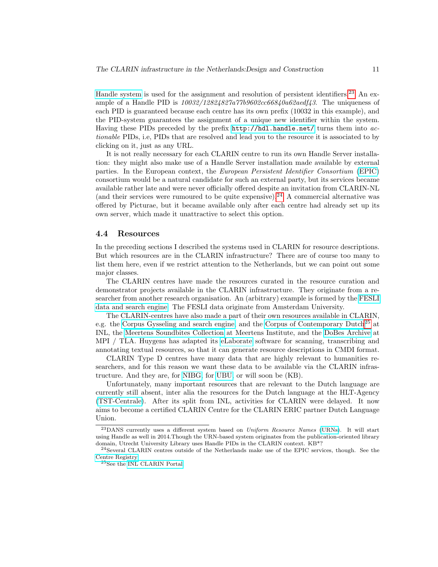[Handle system](http://www.handle.net/) is used for the assignment and resolution of persistent identifiers.[23](#page-10-0) An example of a Handle PID is  $10032/12824827a77b9602cc66840a62aedf43$ . The uniqueness of each PID is guaranteed because each centre has its own prefix (10032 in this example), and the PID-system guarantees the assignment of a unique new identifier within the system. Having these PIDs preceded by the prefix <http://hdl.handle.net/> turns them into actionable PIDs, i.e, PIDs that are resolved and lead you to the resource it is associated to by clicking on it, just as any URL.

It is not really necessary for each CLARIN centre to run its own Handle Server installation: they might also make use of a Handle Server installation made available by external parties. In the European context, the European Persistent Identifier Consortium [\(EPIC\)](http://www.pidconsortium.eu/) consortium would be a natural candidate for such an external party, but its services became available rather late and were never officially offered despite an invitation from CLARIN-NL (and their services were rumoured to be quite expensive).<sup>[24](#page-10-1)</sup> A commercial alternative was offered by Picturae, but it became available only after each centre had already set up its own server, which made it unattractive to select this option.

#### 4.4 Resources

In the preceding sections I described the systems used in CLARIN for resource descriptions. But which resources are in the CLARIN infrastructure? There are of course too many to list them here, even if we restrict attention to the Netherlands, but we can point out some major classes.

The CLARIN centres have made the resources curated in the resource curation and demonstrator projects available in the CLARIN infrastructure. They originate from a researcher from another research organisation. An (arbitrary) example is formed by the [FESLI](http://yago.meertens.knaw.nl/apache/Fesli/) [data and search engine.](http://yago.meertens.knaw.nl/apache/Fesli/) The FESLI data originate from Amsterdam University.

The CLARIN-centres have also made a part of their own resources available in CLARIN, e.g. the [Corpus Gysseling and search engine,](http://gysseling.corpus.taalbanknederlands.inl.nl/cqlwebapp/search.html) and the [Corpus of Contemporary Dutch](http://chn.inl.nl/)<sup>[25](#page-10-2)</sup> at INL, the [Meertens Soundbites Collection](http://catalog.clarin.eu/vlo/search?fq=collection:Meertens+Collection:+Soundbites) at Meertens Institute, and the [DoBes Archive](http://catalog.clarin.eu/vlo/search?fq=collection:TLA:+DoBeS+archive) at MPI / TLA. Huygens has adapted its [eLaborate](https://www.elaborate.huygens.knaw.nl/login) software for scanning, transcribing and annotating textual resources, so that it can generate resource descriptions in CMDI format.

CLARIN Type D centres have many data that are highly relevant to humanities researchers, and for this reason we want these data to be available via the CLARIN infrastructure. And they are, for [NIBG,](http://catalog.clarin.eu/vlo/?fq=collection:Nederlands+Instituut+voor+Beeld+en+Geluid+Academia+collectie) for [UBU,](http://catalog.clarin.eu/vlo/search?fq=collection:UBU+Clarin+Set) or will soon be (KB).

Unfortunately, many important resources that are relevant to the Dutch language are currently still absent, inter alia the resources for the Dutch language at the HLT-Agency [\(TST-Centrale\)](http://tst-centrale.org/). After its split from INL, activities for CLARIN were delayed. It now aims to become a certified CLARIN Centre for the CLARIN ERIC partner Dutch Language Union.

<span id="page-10-0"></span> $^{23}$ DANS currently uses a different system based on Uniform Resource Names [\(URNs\)](http://en.wikipedia.org/wiki/Uniform_resource_name). It will start using Handle as well in 2014.Though the URN-based system originates from the publication-oriented library domain, Utrecht University Library uses Handle PIDs in the CLARIN context. KB\*?

<span id="page-10-1"></span> $^{24}$ Several CLARIN centres outside of the Netherlands make use of the EPIC services, though. See the [Centre Registry.](https://centerregistry-clarin.esc.rzg.mpg.de/)

<span id="page-10-2"></span><sup>25</sup>See the [INL CLARIN Portal.](https://portal.clarin.inl.nl/)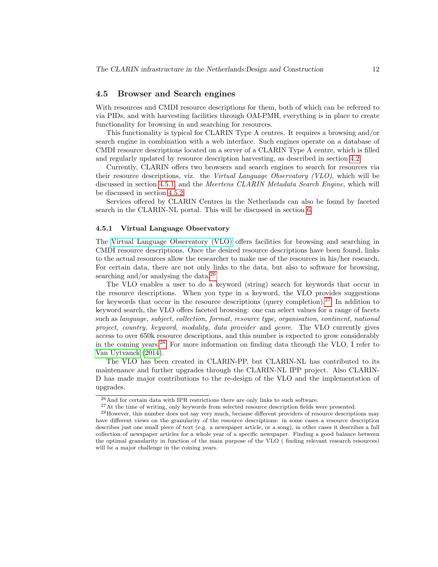### <span id="page-11-1"></span>4.5 Browser and Search engines

With resources and CMDI resource descriptions for them, both of which can be referred to via PIDs, and with harvesting facilities through OAI-PMH, everything is in place to create functionality for browsing in and searching for resources.

This functionality is typical for CLARIN Type A centres. It requires a browsing and/or search engine in combination with a web interface. Such engines operate on a database of CMDI resource descriptions located on a server of a CLARIN Type A centre, which is filled and regularly updated by resource description harvesting, as described in section [4.2.](#page-8-0)

Currently, CLARIN offers two browsers and search engines to search for resources via their resource descriptions, viz. the Virtual Language Observatory (VLO), which will be discussed in section [4.5.1,](#page-11-0) and the Meertens CLARIN Metadata Search Engine, which will be discussed in section [4.5.2.](#page-12-1)

Services offered by CLARIN Centres in the Netherlands can also be found by faceted search in the CLARIN-NL portal. This will be discussed in section [6.](#page-19-0)

#### <span id="page-11-0"></span>4.5.1 Virtual Language Observatory

The [Virtual Language Observatory \(VLO\)](http://www.clarin.eu/content/virtual-language-observatory) offers facilities for browsing and searching in CMDI resource descriptions. Once the desired resource descriptions have been found, links to the actual resources allow the researcher to make use of the resources in his/her research. For certain data, there are not only links to the data, but also to software for browsing, searching and/or analysing the data.<sup>[26](#page-11-2)</sup>

The VLO enables a user to do a keyword (string) search for keywords that occur in the resource descriptions. When you type in a keyword, the VLO provides suggestions for keywords that occur in the resource descriptions (query completion).<sup>[27](#page-11-3)</sup> In addition to keyword search, the VLO offers faceted browsing: one can select values for a range of facets such as language, subject, collection, format, resource type, organisation, continent, national project, country, keyword, modality, data provider and genre. The VLO currently gives access to over 650k resource descriptions, and this number is expected to grow considerably in the coming years.[28](#page-11-4) For more information on finding data through the VLO, I refer to [Van Uytvanck](#page-26-3) [\(2014\)](#page-26-3).

The VLO has been created in CLARIN-PP, but CLARIN-NL has contributed to its maintenance and further upgrades through the CLARIN-NL IPP project. Also CLARIN-D has made major contributions to the re-design of the VLO and the implementation of upgrades.

<span id="page-11-2"></span> $^{26}\mbox{And}$  for certain data with IPR restrictions there are only links to such software.

<span id="page-11-4"></span><span id="page-11-3"></span> $^{27}\mathrm{At}$  the time of writing, only keywords from selected resource description fields were presented.

<sup>28</sup>However, this number does not say very much, because different providers of resource descriptions may have different views on the granularity of the resource descriptions: in some cases a resource description describes just one small piece of text (e.g. a newspaper article, or a song), in other cases it describes a full collection of newspaper articles for a whole year of a specific newspaper. Finding a good balance between the optimal granularity in function of the main purpose of the VLO ( finding relevant research resources) will be a major challenge in the coming years.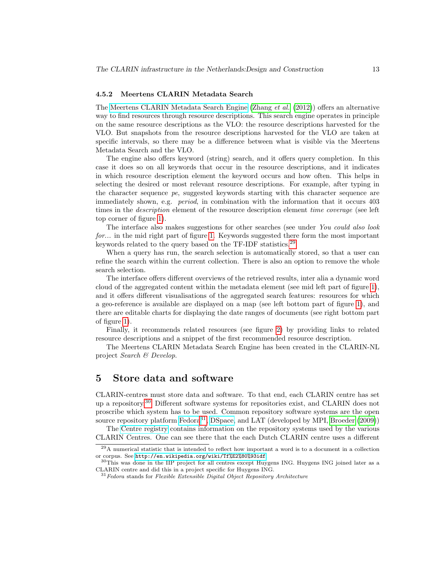#### <span id="page-12-1"></span>4.5.2 Meertens CLARIN Metadata Search

The [Meertens CLARIN Metadata Search Engine](http://www.meertens.knaw.nl/cmdi/search/) [\(Zhang](#page-26-4) et al. [\(2012\)](#page-26-4)) offers an alternative way to find resources through resource descriptions. This search engine operates in principle on the same resource descriptions as the VLO: the resource descriptions harvested for the VLO. But snapshots from the resource descriptions harvested for the VLO are taken at specific intervals, so there may be a difference between what is visible via the Meertens Metadata Search and the VLO.

The engine also offers keyword (string) search, and it offers query completion. In this case it does so on all keywords that occur in the resource descriptions, and it indicates in which resource description element the keyword occurs and how often. This helps in selecting the desired or most relevant resource descriptions. For example, after typing in the character sequence pe, suggested keywords starting with this character sequence are immediately shown, e.g. period, in combination with the information that it occurs 403 times in the *description* element of the resource description element *time coverage* (see left top corner of figure [1\)](#page-13-0).

The interface also makes suggestions for other searches (see under You could also look for... in the mid right part of figure [1.](#page-13-0) Keywords suggested there form the most important keywords related to the query based on the TF-IDF statistics.[29](#page-12-2)

When a query has run, the search selection is automatically stored, so that a user can refine the search within the current collection. There is also an option to remove the whole search selection.

The interface offers different overviews of the retrieved results, inter alia a dynamic word cloud of the aggregated content within the metadata element (see mid left part of figure [1\)](#page-13-0), and it offers different visualisations of the aggregated search features: resources for which a geo-reference is available are displayed on a map (see left bottom part of figure [1\)](#page-13-0), and there are editable charts for displaying the date ranges of documents (see right bottom part of figure [1\)](#page-13-0).

Finally, it recommends related resources (see figure [2\)](#page-14-0) by providing links to related resource descriptions and a snippet of the first recommended resource description.

The Meertens CLARIN Metadata Search Engine has been created in the CLARIN-NL project Search & Develop.

# <span id="page-12-0"></span>5 Store data and software

CLARIN-centres must store data and software. To that end, each CLARIN centre has set up a repository.[30](#page-12-3) Different software systems for repositories exist, and CLARIN does not proscribe which system has to be used. Common repository software systems are the open source repository platform [Fedora](http://www.fedora-commons.org/)<sup>[31](#page-12-4)</sup>, [DSpace,](http://www.dspace.org/) and LAT (developed by MPI, [Broeder](#page-25-5)  $(2009)$ )

The [Centre registry](https://centerregistry-clarin.esc.rzg.mpg.de/) contains information on the repository systems used by the various CLARIN Centres. One can see there that the each Dutch CLARIN centre uses a different

<span id="page-12-2"></span><sup>29</sup>A numerical statistic that is intended to reflect how important a word is to a document in a collection or corpus. See <http://en.wikipedia.org/wiki/Tf%E2%80%93idf>.

<span id="page-12-3"></span><sup>&</sup>lt;sup>30</sup>This was done in the IIP project for all centres except Huygens ING. Huygens ING joined later as a CLARIN centre and did this in a project specific for Huygens ING.

<span id="page-12-4"></span> $31$  Fedora stands for Flexible Extensible Digital Object Repository Architecture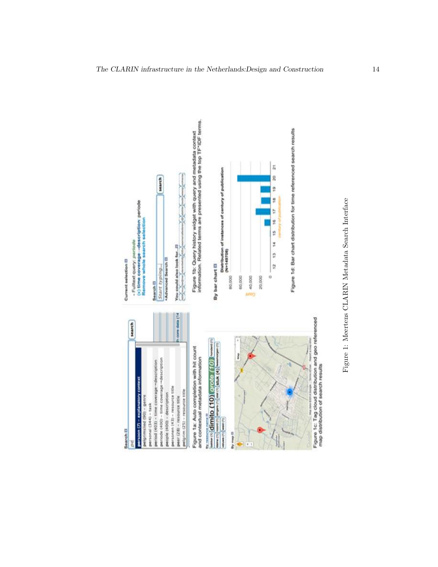<span id="page-13-0"></span>

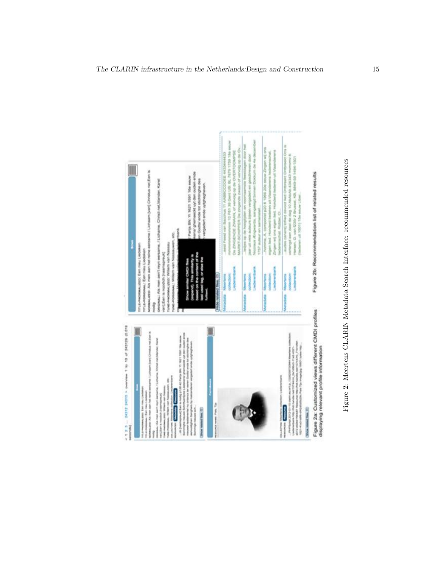<span id="page-14-0"></span>

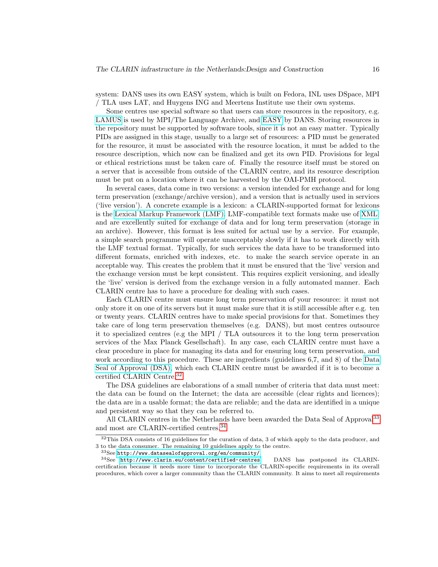system: DANS uses its own EASY system, which is built on Fedora, INL uses DSpace, MPI / TLA uses LAT, and Huygens ING and Meertens Institute use their own systems.

Some centres use special software so that users can store resources in the repository, e.g. [LAMUS](http://tla.mpi.nl/tools/tla-tools/lamus/) is used by MPI/The Language Archive, and [EASY](https://easy.dans.knaw.nl/ui/home) by DANS. Storing resources in the repository must be supported by software tools, since it is not an easy matter. Typically PIDs are assigned in this stage, usually to a large set of resources: a PID must be generated for the resource, it must be associated with the resource location, it must be added to the resource description, which now can be finalized and get its own PID. Provisions for legal or ethical restrictions must be taken care of. Finally the resource itself must be stored on a server that is accessible from outside of the CLARIN centre, and its resource description must be put on a location where it can be harvested by the OAI-PMH protocol.

In several cases, data come in two versions: a version intended for exchange and for long term preservation (exchange/archive version), and a version that is actually used in services ('live version'). A concrete example is a lexicon: a CLARIN-supported format for lexicons is the [Lexical Markup Framework \(LMF\).](http://www.lexicalmarkupframework.org/) LMF-compatible text formats make use of [XML,](http://www.w3.org/XML/) and are excellently suited for exchange of data and for long term preservation (storage in an archive). However, this format is less suited for actual use by a service. For example, a simple search programme will operate unacceptably slowly if it has to work directly with the LMF textual format. Typically, for such services the data have to be transformed into different formats, enriched with indexes, etc. to make the search service operate in an acceptable way. This creates the problem that it must be ensured that the 'live' version and the exchange version must be kept consistent. This requires explicit versioning, and ideally the 'live' version is derived from the exchange version in a fully automated manner. Each CLARIN centre has to have a procedure for dealing with such cases.

Each CLARIN centre must ensure long term preservation of your resource: it must not only store it on one of its servers but it must make sure that it is still accessible after e.g. ten or twenty years. CLARIN centres have to make special provisions for that. Sometimes they take care of long term preservation themselves (e.g. DANS), but most centres outsource it to specialized centres (e.g the MPI / TLA outsources it to the long term preservation services of the Max Planck Gesellschaft). In any case, each CLARIN centre must have a clear procedure in place for managing its data and for ensuring long term preservation, and work according to this procedure. These are ingredients (guidelines 6,7, and 8) of the [Data](http://www.datasealofapproval.org/en/) [Seal of Approval \(DSA\),](http://www.datasealofapproval.org/en/) which each CLARIN centre must be awarded if it is to become a certified CLARIN Centre.[32](#page-15-0)

The DSA guidelines are elaborations of a small number of criteria that data must meet: the data can be found on the Internet; the data are accessible (clear rights and licences); the data are in a usable format; the data are reliable; and the data are identified in a unique and persistent way so that they can be referred to.

All CLARIN centres in the Netherlands have been awarded the Data Seal of Approval<sup>[33](#page-15-1)</sup> and most are CLARIN-certified centres.[34](#page-15-2)

<span id="page-15-0"></span><sup>32</sup>This DSA consists of 16 guidelines for the curation of data, 3 of which apply to the data producer, and 3 to the data consumer. The remaining 10 guidelines apply to the centre.

<span id="page-15-2"></span><span id="page-15-1"></span> $33$ See <http://www.datasealofapproval.org/en/community/>.

<sup>34</sup>See <http://www.clarin.eu/content/certified-centres>. DANS has postponed its CLARINcertification because it needs more time to incorporate the CLARIN-specific requirements in its overall procedures, which cover a larger community than the CLARIN community. It aims to meet all requirements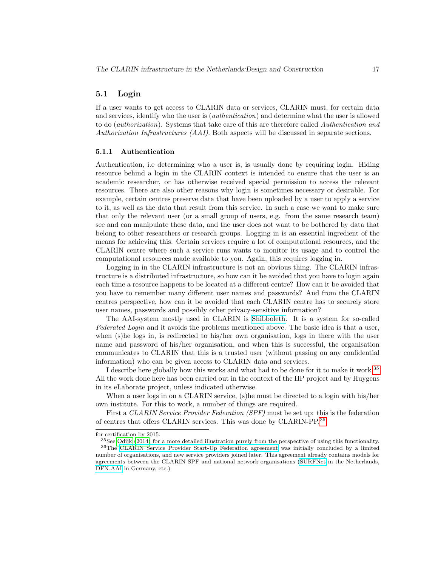### 5.1 Login

If a user wants to get access to CLARIN data or services, CLARIN must, for certain data and services, identify who the user is (authentication) and determine what the user is allowed to do (authorization). Systems that take care of this are therefore called Authentication and Authorization Infrastructures (AAI). Both aspects will be discussed in separate sections.

#### 5.1.1 Authentication

Authentication, i.e determining who a user is, is usually done by requiring login. Hiding resource behind a login in the CLARIN context is intended to ensure that the user is an academic researcher, or has otherwise received special permission to access the relevant resources. There are also other reasons why login is sometimes necessary or desirable. For example, certain centres preserve data that have been uploaded by a user to apply a service to it, as well as the data that result from this service. In such a case we want to make sure that only the relevant user (or a small group of users, e.g. from the same research team) see and can manipulate these data, and the user does not want to be bothered by data that belong to other researchers or research groups. Logging in is an essential ingredient of the means for achieving this. Certain services require a lot of computational resources, and the CLARIN centre where such a service runs wants to monitor its usage and to control the computational resources made available to you. Again, this requires logging in.

Logging in in the CLARIN infrastructure is not an obvious thing. The CLARIN infrastructure is a distributed infrastructure, so how can it be avoided that you have to login again each time a resource happens to be located at a different centre? How can it be avoided that you have to remember many different user names and passwords? And from the CLARIN centres perspective, how can it be avoided that each CLARIN centre has to securely store user names, passwords and possibly other privacy-sensitive information?

The AAI-system mostly used in CLARIN is [Shibboleth.](https://shibboleth.net/) It is a system for so-called Federated Login and it avoids the problems mentioned above. The basic idea is that a user, when (s)he logs in, is redirected to his/her own organisation, logs in there with the user name and password of his/her organisation, and when this is successful, the organisation communicates to CLARIN that this is a trusted user (without passing on any confidential information) who can be given access to CLARIN data and services.

I describe here globally how this works and what had to be done for it to make it work.[35](#page-16-0) All the work done here has been carried out in the context of the IIP project and by Huygens in its eLaborate project, unless indicated otherwise.

When a user logs in on a CLARIN service, (s)he must be directed to a login with his/her own institute. For this to work, a number of things are required.

First a CLARIN Service Provider Federation (SPF) must be set up: this is the federation of centres that offers CLARIN services. This was done by CLARIN-PP.[36](#page-16-1)

<span id="page-16-0"></span>for certification by 2015.

<span id="page-16-1"></span> $35$ See [Odijk](#page-26-0) [\(2014\)](#page-26-0) for a more detailed illustration purely from the perspective of using this functionality. <sup>36</sup>The [CLARIN Service Provider Start-Up Federation agreement](http://www.clarin.eu/sites/default/files/CLARIN_Service_Provider_Start-Up_Federation_Agreement_Final.pdf) was initially concluded by a limited number of organisations, and new service providers joined later. This agreement already contains models for agreements between the CLARIN SPF and national network organisations [\(SURFNet](http://www.surf.nl/en/about-surf/subsidiaries/surfnet) in the Netherlands, [DFN-AAI](https://www.aai.dfn.de/en/) in Germany, etc.)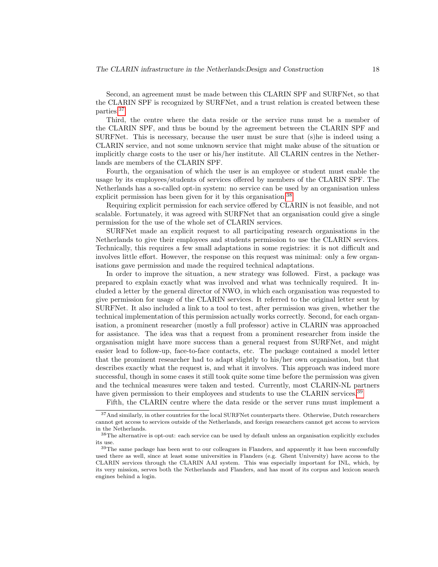Second, an agreement must be made between this CLARIN SPF and SURFNet, so that the CLARIN SPF is recognized by SURFNet, and a trust relation is created between these parties.[37](#page-17-0)

Third, the centre where the data reside or the service runs must be a member of the CLARIN SPF, and thus be bound by the agreement between the CLARIN SPF and SURFNet. This is necessary, because the user must be sure that (s)he is indeed using a CLARIN service, and not some unknown service that might make abuse of the situation or implicitly charge costs to the user or his/her institute. All CLARIN centres in the Netherlands are members of the CLARIN SPF.

Fourth, the organisation of which the user is an employee or student must enable the usage by its employees/students of services offered by members of the CLARIN SPF. The Netherlands has a so-called opt-in system: no service can be used by an organisation unless explicit permission has been given for it by this organisation.<sup>[38](#page-17-1)</sup>

Requiring explicit permission for each service offered by CLARIN is not feasible, and not scalable. Fortunately, it was agreed with SURFNet that an organisation could give a single permission for the use of the whole set of CLARIN services.

SURFNet made an explicit request to all participating research organisations in the Netherlands to give their employees and students permission to use the CLARIN services. Technically, this requires a few small adaptations in some registries: it is not difficult and involves little effort. However, the response on this request was minimal: only a few organisations gave permission and made the required technical adaptations.

In order to improve the situation, a new strategy was followed. First, a package was prepared to explain exactly what was involved and what was technically required. It included a letter by the general director of NWO, in which each organisation was requested to give permission for usage of the CLARIN services. It referred to the original letter sent by SURFNet. It also included a link to a tool to test, after permission was given, whether the technical implementation of this permission actually works correctly. Second, for each organisation, a prominent researcher (mostly a full professor) active in CLARIN was approached for assistance. The idea was that a request from a prominent researcher from inside the organisation might have more success than a general request from SURFNet, and might easier lead to follow-up, face-to-face contacts, etc. The package contained a model letter that the prominent researcher had to adapt slightly to his/her own organisation, but that describes exactly what the request is, and what it involves. This approach was indeed more successful, though in some cases it still took quite some time before the permission was given and the technical measures were taken and tested. Currently, most CLARIN-NL partners have given permission to their employees and students to use the CLARIN services.<sup>[39](#page-17-2)</sup>

<span id="page-17-0"></span>Fifth, the CLARIN centre where the data reside or the server runs must implement a

<sup>37</sup>And similarly, in other countries for the local SURFNet counterparts there. Otherwise, Dutch researchers cannot get access to services outside of the Netherlands, and foreign researchers cannot get access to services in the Netherlands.

<span id="page-17-1"></span><sup>38</sup>The alternative is opt-out: each service can be used by default unless an organisation explicitly excludes its use.

<span id="page-17-2"></span><sup>&</sup>lt;sup>39</sup>The same package has been sent to our colleagues in Flanders, and apparently it has been successfully used there as well, since at least some universities in Flanders (e.g. Ghent University) have access to the CLARIN services through the CLARIN AAI system. This was especially important for INL, which, by its very mission, serves both the Netherlands and Flanders, and has most of its corpus and lexicon search engines behind a login.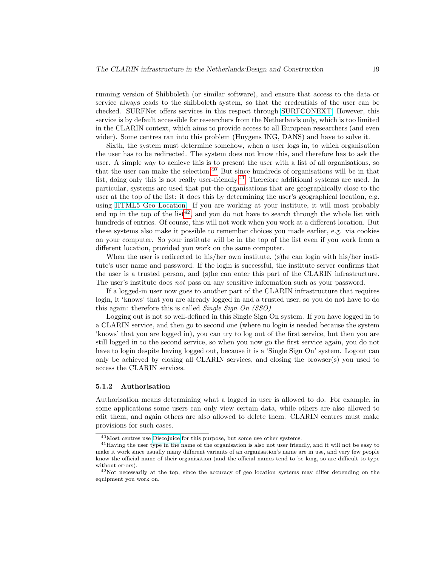running version of Shibboleth (or similar software), and ensure that access to the data or service always leads to the shibboleth system, so that the credentials of the user can be checked. SURFNet offers services in this respect through [SURFCONEXT.](https://teams.surfconext.nl/teams/landingpage.shtml) However, this service is by default accessible for researchers from the Netherlands only, which is too limited in the CLARIN context, which aims to provide access to all European researchers (and even wider). Some centres ran into this problem (Huygens ING, DANS) and have to solve it.

Sixth, the system must determine somehow, when a user logs in, to which organisation the user has to be redirected. The system does not know this, and therefore has to ask the user. A simple way to achieve this is to present the user with a list of all organisations, so that the user can make the selection. $40$  But since hundreds of organisations will be in that list, doing only this is not really user-friendly.<sup>[41](#page-18-1)</sup> Therefore additional systems are used. In particular, systems are used that put the organisations that are geographically close to the user at the top of the list: it does this by determining the user's geographical location, e.g. using [HTML5 Geo Location.](http://www.w3schools.com/html/html5_geolocation.asp) If you are working at your institute, it will most probably end up in the top of the list<sup>[42](#page-18-2)</sup>, and you do not have to search through the whole list with hundreds of entries. Of course, this will not work when you work at a different location. But these systems also make it possible to remember choices you made earlier, e.g. via cookies on your computer. So your institute will be in the top of the list even if you work from a different location, provided you work on the same computer.

When the user is redirected to his/her own institute, (s)he can login with his/her institute's user name and password. If the login is successful, the institute server confirms that the user is a trusted person, and (s)he can enter this part of the CLARIN infrastructure. The user's institute does *not* pass on any sensitive information such as your password.

If a logged-in user now goes to another part of the CLARIN infrastructure that requires login, it 'knows' that you are already logged in and a trusted user, so you do not have to do this again: therefore this is called Single Sign On (SSO)

Logging out is not so well-defined in this Single Sign On system. If you have logged in to a CLARIN service, and then go to second one (where no login is needed because the system 'knows' that you are logged in), you can try to log out of the first service, but then you are still logged in to the second service, so when you now go the first service again, you do not have to login despite having logged out, because it is a 'Single Sign On' system. Logout can only be achieved by closing all CLARIN services, and closing the browser(s) you used to access the CLARIN services.

#### 5.1.2 Authorisation

Authorisation means determining what a logged in user is allowed to do. For example, in some applications some users can only view certain data, while others are also allowed to edit them, and again others are also allowed to delete them. CLARIN centres must make provisions for such cases.

<span id="page-18-1"></span><span id="page-18-0"></span><sup>40</sup>Most centres use [Discojuice](http://discojuice.org/) for this purpose, but some use other systems.

<sup>41</sup>Having the user type in the name of the organisation is also not user friendly, and it will not be easy to make it work since usually many different variants of an organisation's name are in use, and very few people know the official name of their organisation (and the official names tend to be long, so are difficult to type without errors).

<span id="page-18-2"></span> $^{42}$ Not necessarily at the top, since the accuracy of geo location systems may differ depending on the equipment you work on.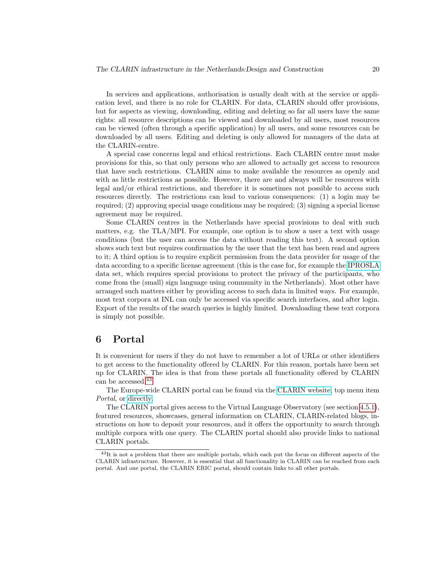In services and applications, authorisation is usually dealt with at the service or application level, and there is no role for CLARIN. For data, CLARIN should offer provisions, but for aspects as viewing, downloading, editing and deleting so far all users have the same rights: all resource descriptions can be viewed and downloaded by all users, most resources can be viewed (often through a specific application) by all users, and some resources can be downloaded by all users. Editing and deleting is only allowed for managers of the data at the CLARIN-centre.

A special case concerns legal and ethical restrictions. Each CLARIN centre must make provisions for this, so that only persons who are allowed to actually get access to resources that have such restrictions. CLARIN aims to make available the resources as openly and with as little restrictions as possible. However, there are and always will be resources with legal and/or ethical restrictions, and therefore it is sometimes not possible to access such resources directly. The restrictions can lead to various consequences: (1) a login may be required; (2) approving special usage conditions may be required; (3) signing a special license agreement may be required.

Some CLARIN centres in the Netherlands have special provisions to deal with such matters, e.g. the TLA/MPI. For example, one option is to show a user a text with usage conditions (but the user can access the data without reading this text). A second option shows such text but requires confirmation by the user that the text has been read and agrees to it; A third option is to require explicit permission from the data provider for usage of the data according to a specific license agreement (this is the case for, for example the [IPROSLA](http://catalog.clarin.eu/vlo/search?7&q=IPROSLA ) data set, which requires special provisions to protect the privacy of the participants, who come from the (small) sign language using community in the Netherlands). Most other have arranged such matters either by providing access to such data in limited ways. For example, most text corpora at INL can only be accessed via specific search interfaces, and after login. Export of the results of the search queries is highly limited. Downloading these text corpora is simply not possible.

# <span id="page-19-0"></span>6 Portal

It is convenient for users if they do not have to remember a lot of URLs or other identifiers to get access to the functionality offered by CLARIN. For this reason, portals have been set up for CLARIN. The idea is that from these portals all functionality offered by CLARIN can be accessed.<sup>[43](#page-19-1)</sup>

The Europe-wide CLARIN portal can be found via the [CLARIN website,](http://www.clarin.eu) top menu item Portal, or [directly.](http://www.clarin.eu/guest-portal)

The CLARIN portal gives access to the Virtual Language Observatory (see section [4.5.1\)](#page-11-0), featured resources, showcases, general information on CLARIN, CLARIN-related blogs, instructions on how to deposit your resources, and it offers the opportunity to search through multiple corpora with one query. The CLARIN portal should also provide links to national CLARIN portals.

<span id="page-19-1"></span><sup>&</sup>lt;sup>43</sup>It is not a problem that there are multiple portals, which each put the focus on different aspects of the CLARIN infrastructure. However, it is essential that all functionality in CLARIN can be reached from each portal. And one portal, the CLARIN ERIC portal, should contain links to all other portals.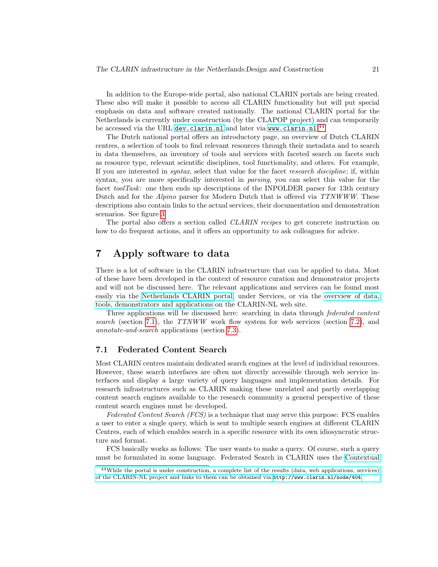In addition to the Europe-wide portal, also national CLARIN portals are being created. These also will make it possible to access all CLARIN functionality but will put special emphasis on data and software created nationally. The national CLARIN portal for the Netherlands is currently under construction (by the CLAPOP project) and can temporarily be accessed via the URL <dev.clarin.nl> and later via <www.clarin.nl>.<sup>[44](#page-20-1)</sup>

The Dutch national portal offers an introductory page, an overview of Dutch CLARIN centres, a selection of tools to find relevant resources through their metadata and to search in data themselves, an inventory of tools and services with faceted search on facets such as resource type, relevant scientific disciplines, tool functionality, and others. For example, If you are interested in syntax, select that value for the facet research discipline; if, within syntax, you are more specifically interested in *parsing*, you can select this value for the facet toolTask: one then ends up descriptions of the INPOLDER parser for 13th century Dutch and for the *Alpino* parser for Modern Dutch that is offered via TTNWWW. These descriptions also contain links to the actual services, their documentation and demonstration scenarios. See figure [3.](#page-21-0)

The portal also offers a section called *CLARIN recipes* to get concrete instruction on how to do frequent actions, and it offers an opportunity to ask colleagues for advice.

# <span id="page-20-0"></span>7 Apply software to data

There is a lot of software in the CLARIN infrastructure that can be applied to data. Most of these have been developed in the context of resource curation and demonstrator projects and will not be discussed here. The relevant applications and services can be found most easily via the [Netherlands CLARIN portal,](http://dev.clarin.nl) under Services, or via the [overview of data,](http://www.clarin.nl/node/404) [tools, demonstrators and applications](http://www.clarin.nl/node/404) on the CLARIN-NL web site.

Three applications will be discussed here: searching in data through federated content search (section [7.1\)](#page-20-2), the TTNWW work flow system for web services (section [7.2\)](#page-23-0), and annotate-and-search applications (section [7.3\)](#page-24-0).

# <span id="page-20-2"></span>7.1 Federated Content Search

Most CLARIN centres maintain dedicated search engines at the level of individual resources. However, these search interfaces are often not directly accessible through web service interfaces and display a large variety of query languages and implementation details. For research infrastructures such as CLARIN making these unrelated and partly overlapping content search engines available to the research community a general perspective of these content search engines must be developed.

Federated Content Search (FCS) is a technique that may serve this purpose: FCS enables a user to enter a single query, which is sent to multiple search engines at different CLARIN Centres, each of which enables search in a specific resource with its own idiosyncratic structure and format.

FCS basically works as follows: The user wants to make a query. Of course, such a query must be formulated in some language. Federated Search in CLARIN uses the [Contextual](http://www.loc.gov/standards/sru/cql/index.html)

<span id="page-20-1"></span><sup>44</sup>[While the portal is under construction, a complete list of the results \(data, web applications, services\)](http://www.loc.gov/standards/sru/cql/index.html) [of the CLARIN-NL project and links to them can be obtained via](http://www.loc.gov/standards/sru/cql/index.html) <http://www.clarin.nl/node/404>.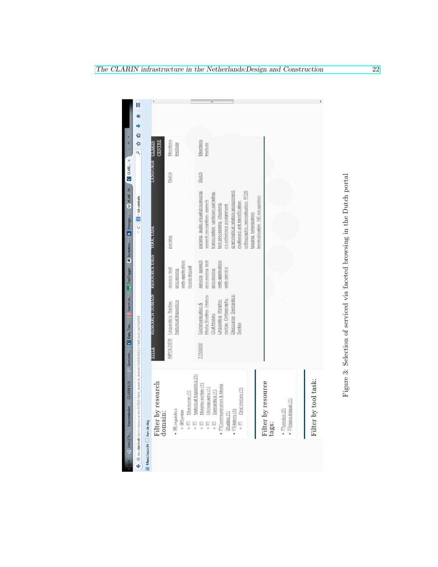<span id="page-21-0"></span>

|                                    | $\mathsf{III}$                                                                                      |                                                 |                                                                            | Ш                                                                                                                                                                                                                                                                                                     |  |
|------------------------------------|-----------------------------------------------------------------------------------------------------|-------------------------------------------------|----------------------------------------------------------------------------|-------------------------------------------------------------------------------------------------------------------------------------------------------------------------------------------------------------------------------------------------------------------------------------------------------|--|
|                                    |                                                                                                     |                                                 |                                                                            |                                                                                                                                                                                                                                                                                                       |  |
| $\frac{1}{2}$                      | 台好                                                                                                  |                                                 |                                                                            |                                                                                                                                                                                                                                                                                                       |  |
|                                    | q                                                                                                   | <b>CENTRE</b>                                   | Meertens<br>Institute                                                      | Meertens<br>Institute                                                                                                                                                                                                                                                                                 |  |
| $W$ tf-idf $-W$ $Q$ CLARL $\times$ |                                                                                                     | <b>LANGUAGE CLARIN</b>                          | Dutch                                                                      | Dutch                                                                                                                                                                                                                                                                                                 |  |
|                                    |                                                                                                     |                                                 |                                                                            |                                                                                                                                                                                                                                                                                                       |  |
|                                    |                                                                                                     |                                                 |                                                                            |                                                                                                                                                                                                                                                                                                       |  |
| B Manage                           | $\forall C \parallel \blacksquare$ + tst-centrale                                                   |                                                 |                                                                            | parsing, audio-visual processing,<br>grammatical relation assignment,<br>orthographic normalisation, POS<br>transcription, up/down sampling<br>lemmatisation, NE recognition<br>speech recognition, speech<br>multiword unit identification.<br>text processing, chunking,<br>co-reference assignment |  |
|                                    |                                                                                                     |                                                 | parsing                                                                    | tagging, tokenization,                                                                                                                                                                                                                                                                                |  |
|                                    |                                                                                                     |                                                 |                                                                            |                                                                                                                                                                                                                                                                                                       |  |
|                                    |                                                                                                     |                                                 |                                                                            |                                                                                                                                                                                                                                                                                                       |  |
| TreeTagger M Invitation            |                                                                                                     |                                                 | web-application,<br>mono-lingual<br>service, text<br>processing            | service, speech<br>processing, text<br>web-application,<br>web-service<br>processing,                                                                                                                                                                                                                 |  |
|                                    |                                                                                                     | <b>RESEARCH COMAIN RESOURCE AND TOOL PASSES</b> |                                                                            |                                                                                                                                                                                                                                                                                                       |  |
|                                    |                                                                                                     |                                                 | historical linguistics<br>Linguistics, Syntax                              | Media Studies, History,<br>Discourse, Semantics<br>syntax, Orthography,<br>Linguistics, Morpho-<br>Communication &                                                                                                                                                                                    |  |
| Data, Too     Search re            |                                                                                                     |                                                 |                                                                            | Oral History,<br>Syntax                                                                                                                                                                                                                                                                               |  |
|                                    |                                                                                                     | <b>SERRIAR</b>                                  | <b>INPOLDER</b>                                                            | <b>TTNWWW</b>                                                                                                                                                                                                                                                                                         |  |
| Semantic                           |                                                                                                     |                                                 |                                                                            |                                                                                                                                                                                                                                                                                                       |  |
|                                    |                                                                                                     |                                                 |                                                                            |                                                                                                                                                                                                                                                                                                       |  |
| <b>CLARIN VLO</b>                  |                                                                                                     |                                                 | historical linguistics (1)                                                 | Morpho-syntax (1)                                                                                                                                                                                                                                                                                     |  |
| Salaristabellen                    | e @ dev.clarin.nl/clarin-resource-list-fs?f[0]=field_research_domain%3A51&f[1]=field_tool_task%3A84 | by research                                     | Discourse (1)                                                              | by tool task:<br>by resource<br>Communication & Media<br>Orthography (1)<br>Oral History (1)<br>Semantics (1)<br>mono-lingual (1)                                                                                                                                                                     |  |
|                                    |                                                                                                     | Filter by<br>domain:                            | · <b>VILinguistics</b><br>o <b>D</b> Syntax<br>g<br>O<br>$\frac{1}{\circ}$ | $\bullet$ $\Box$ service (2)<br>History(1)<br>Studies (1)<br>Filter<br>Filter<br>$\frac{1}{\sqrt{2}}$<br>tags:<br>$\frac{\Box}{\circ}$<br>$\circ$<br>$\circ$                                                                                                                                          |  |
| Arbil   Th                         |                                                                                                     | <b>P</b> Meest bezocht <b>Aan</b> de slag       |                                                                            |                                                                                                                                                                                                                                                                                                       |  |
|                                    |                                                                                                     |                                                 |                                                                            |                                                                                                                                                                                                                                                                                                       |  |
|                                    |                                                                                                     |                                                 |                                                                            |                                                                                                                                                                                                                                                                                                       |  |

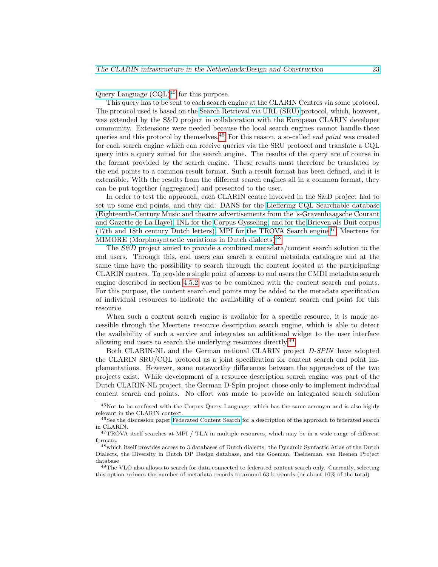Query Language  $(CQL)^{45}$  $(CQL)^{45}$  $(CQL)^{45}$  for this purpose.

This query has to be sent to each search engine at the CLARIN Centres via some protocol. The protocol used is based on the [Search Retrieval via URL \(SRU\)](http://www.loc.gov/standards/sru/) protocol, which, however, was extended by the S&D project in collaboration with the European CLARIN developer community. Extensions were needed because the local search engines cannot handle these queries and this protocol by themselves.<sup>[46](#page-22-1)</sup> For this reason, a so-called *end point* was created for each search engine which can receive queries via the SRU protocol and translate a CQL query into a query suited for the search engine. The results of the query are of course in the format provided by the search engine. These results must therefore be translated by the end points to a common result format. Such a result format has been defined, and it is extensible. With the results from the different search engines all in a common format, they can be put together (aggregated) and presented to the user.

In order to test the approach, each CLARIN centre involved in the S&D project had to set up some end points, and they did: DANS for the [Lieffering CQL Searchable database](http://srucql.dans.knaw.nl/) [\(Eighteenth-Century Music and theatre advertisements from the 's-Gravenhaagsche Courant](http://srucql.dans.knaw.nl/) [and Gazette de La Haye\),](http://srucql.dans.knaw.nl/) INL for the [Corpus Gysseling,](http://gysseling.corpus.taalbanknederlands.inl.nl/gyssru/) and for the [Brieven als Buit corpus](http://brievenalsbuit.inl.nl/zbsru/)  $(17th$  and 18th century Dutch letters), MPI for [the TROVA Search engine](http://cqlservlet.mpi.nl/)<sup>[47](#page-22-2)</sup>, Meertens for [MIMORE \(Morphosyntactic variations in Dutch dialects\)](http://www.meertens.knaw.nl/mimore/srucql/)<sup>[48](#page-22-3)</sup>

The S&D project aimed to provide a combined metadata/content search solution to the end users. Through this, end users can search a central metadata catalogue and at the same time have the possibility to search through the content located at the participating CLARIN centres. To provide a single point of access to end users the CMDI metadata search engine described in section [4.5.2](#page-12-1) was to be combined with the content search end points. For this purpose, the content search end points may be added to the metadata specification of individual resources to indicate the availability of a content search end point for this resource.

When such a content search engine is available for a specific resource, it is made accessible through the Meertens resource description search engine, which is able to detect the availability of such a service and integrates an additional widget to the user interface allowing end users to search the underlying resources directly.[49](#page-22-4)

Both CLARIN-NL and the German national CLARIN project D-SPIN have adopted the CLARIN SRU/CQL protocol as a joint specification for content search end point implementations. However, some noteworthy differences between the approaches of the two projects exist. While development of a resource description search engine was part of the Dutch CLARIN-NL project, the German D-Spin project chose only to implement individual content search end points. No effort was made to provide an integrated search solution

<span id="page-22-0"></span><sup>45</sup>Not to be confused with the Corpus Query Language, which has the same acronym and is also highly relevant in the CLARIN context.

<span id="page-22-1"></span><sup>&</sup>lt;sup>46</sup>See the discussion paper [Federated Content Search](http://www.clarin.eu/file/1779) for a description of the approach to federated search in CLARIN.

<span id="page-22-2"></span> $^{47}\mathrm{TROVA}$  itself searches at MPI / TLA in multiple resources, which may be in a wide range of different formats.

<span id="page-22-3"></span><sup>48</sup>which itself provides access to 3 databases of Dutch dialects: the Dynamic Syntactic Atlas of the Dutch Dialects, the Diversity in Dutch DP Design database, and the Goeman, Taeldeman, van Reenen Project database

<span id="page-22-4"></span><sup>&</sup>lt;sup>49</sup>The VLO also allows to search for data connected to federated content search only. Currently, selecting this option reduces the number of metadata records to around 63 k records (or about 10% of the total)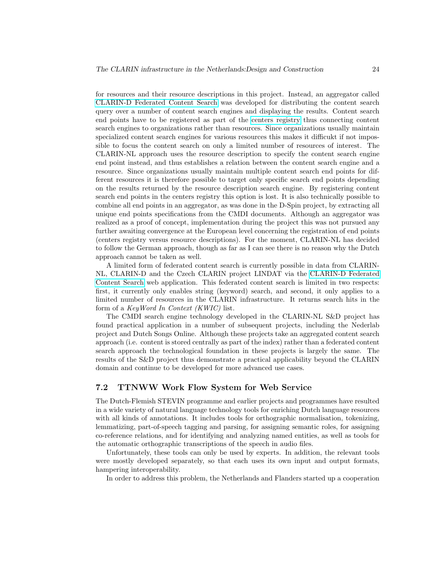for resources and their resource descriptions in this project. Instead, an aggregator called [CLARIN-D Federated Content Search](http://weblicht.sfs.uni-tuebingen.de/Aggregator/) was developed for distributing the content search query over a number of content search engines and displaying the results. Content search end points have to be registered as part of the [centers registry](http://centerregistry-clarin.esc.rzg.mpg.de/) thus connecting content search engines to organizations rather than resources. Since organizations usually maintain specialized content search engines for various resources this makes it difficukt if not impossible to focus the content search on only a limited number of resources of interest. The CLARIN-NL approach uses the resource description to specify the content search engine end point instead, and thus establishes a relation between the content search engine and a resource. Since organizations usually maintain multiple content search end points for different resources it is therefore possible to target only specific search end points depending on the results returned by the resource description search engine. By registering content search end points in the centers registry this option is lost. It is also technically possible to combine all end points in an aggregator, as was done in the D-Spin project, by extracting all unique end points specifications from the CMDI documents. Although an aggregator was realized as a proof of concept, implementation during the project this was not pursued any further awaiting convergence at the European level concerning the registration of end points (centers registry versus resource descriptions). For the moment, CLARIN-NL has decided to follow the German approach, though as far as I can see there is no reason why the Dutch approach cannot be taken as well.

A limited form of federated content search is currently possible in data from CLARIN-NL, CLARIN-D and the Czech CLARIN project LINDAT via the [CLARIN-D Federated](http://weblicht.sfs.uni-tuebingen.de/Aggregator/) [Content Search](http://weblicht.sfs.uni-tuebingen.de/Aggregator/) web application. This federated content search is limited in two respects: first, it currently only enables string (keyword) search, and second, it only applies to a limited number of resources in the CLARIN infrastructure. It returns search hits in the form of a KeyWord In Context (KWIC) list.

The CMDI search engine technology developed in the CLARIN-NL S&D project has found practical application in a number of subsequent projects, including the Nederlab project and Dutch Songs Online. Although these projects take an aggregated content search approach (i.e. content is stored centrally as part of the index) rather than a federated content search approach the technological foundation in these projects is largely the same. The results of the S&D project thus demonstrate a practical applicability beyond the CLARIN domain and continue to be developed for more advanced use cases.

# <span id="page-23-0"></span>7.2 TTNWW Work Flow System for Web Service

The Dutch-Flemish STEVIN programme and earlier projects and programmes have resulted in a wide variety of natural language technology tools for enriching Dutch language resources with all kinds of annotations. It includes tools for orthographic normalisation, tokenizing, lemmatizing, part-of-speech tagging and parsing, for assigning semantic roles, for assigning co-reference relations, and for identifying and analyzing named entities, as well as tools for the automatic orthographic transcriptions of the speech in audio files.

Unfortunately, these tools can only be used by experts. In addition, the relevant tools were mostly developed separately, so that each uses its own input and output formats, hampering interoperability.

In order to address this problem, the Netherlands and Flanders started up a cooperation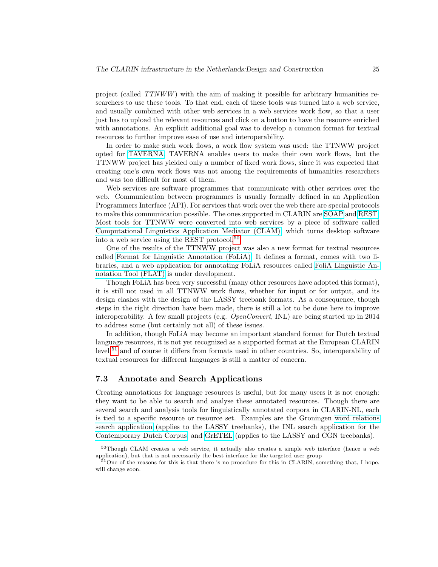project (called TTNWW ) with the aim of making it possible for arbitrary humanities researchers to use these tools. To that end, each of these tools was turned into a web service, and usually combined with other web services in a web services work flow, so that a user just has to upload the relevant resources and click on a button to have the resource enriched with annotations. An explicit additional goal was to develop a common format for textual resources to further improve ease of use and interoperability.

In order to make such work flows, a work flow system was used: the TTNWW project opted for [TAVERNA.](http://www.taverna.org.uk/) TAVERNA enables users to make their own work flows, but the TTNWW project has yielded only a number of fixed work flows, since it was expected that creating one's own work flows was not among the requirements of humanities researchers and was too difficult for most of them.

Web services are software programmes that communicate with other services over the web. Communication between programmes is usually formally defined in an Application Programmers Interface (API). For services that work over the web there are special protocols to make this communication possible. The ones supported in CLARIN are [SOAP](http://www.w3.org/2003/06/soap12-pressrelease.html.en) and [REST.](http://en.wikipedia.org/wiki/Representational_state_transfer) Most tools for TTNWW were converted into web services by a piece of software called [Computational Linguistics Application Mediator \(CLAM\),](http://proycon.github.io/clam/) which turns desktop software into a web service using the REST protocol.<sup>[50](#page-24-1)</sup>.

One of the results of the TTNWW project was also a new format for textual resources called [Format for Linguistic Annotation \(FoLiA\).](http://proycon.github.io/folia/) It defines a format, comes with two libraries, and a web application for annotating FoLiA resources called [FoliA Linguistic An](http://proycon.github.io/folia/)[notation Tool \(FLAT\)](http://proycon.github.io/folia/) is under development.

Though FoLiA has been very successful (many other resources have adopted this format), it is still not used in all TTNWW work flows, whether for input or for output, and its design clashes with the design of the LASSY treebank formats. As a consequence, though steps in the right direction have been made, there is still a lot to be done here to improve interoperability. A few small projects (e.g. OpenConvert, INL) are being started up in 2014 to address some (but certainly not all) of these issues.

In addition, though FoLiA may become an important standard format for Dutch textual language resources, it is not yet recognized as a supported format at the European CLARIN level,<sup>[51](#page-24-2)</sup> and of course it differs from formats used in other countries. So, interoperability of textual resources for different languages is still a matter of concern.

### <span id="page-24-0"></span>7.3 Annotate and Search Applications

Creating annotations for language resources is useful, but for many users it is not enough: they want to be able to search and analyse these annotated resources. Though there are several search and analysis tools for linguistically annotated corpora in CLARIN-NL, each is tied to a specific resource or resource set. Examples are the Groningen [word relations](http://www.let.rug.nl/~alfa/lassy/bin/lassy) [search application](http://www.let.rug.nl/~alfa/lassy/bin/lassy) (applies to the LASSY treebanks), the INL search application for the [Contemporary Dutch Corpus,](http://corpushedendaagsnederlands.inl.nl/) and [GrETEL](http://nederbooms.ccl.kuleuven.be/eng/) (applies to the LASSY and CGN treebanks).

<span id="page-24-1"></span><sup>&</sup>lt;sup>50</sup>Though CLAM creates a web service, it actually also creates a simple web interface (hence a web application), but that is not necessarily the best interface for the targeted user group

<span id="page-24-2"></span><sup>&</sup>lt;sup>51</sup>One of the reasons for this is that there is no procedure for this in CLARIN, something that, I hope, will change soon.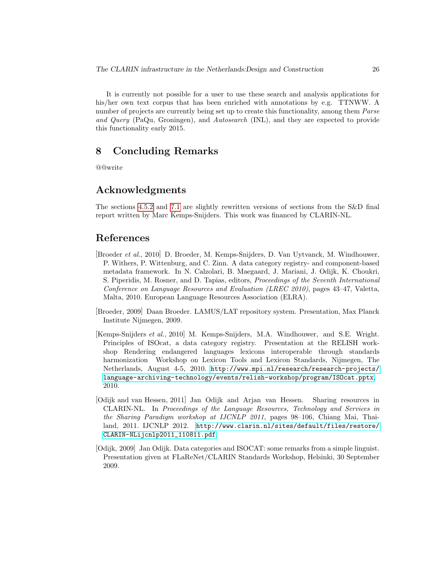It is currently not possible for a user to use these search and analysis applications for his/her own text corpus that has been enriched with annotations by e.g. TTNWW. A number of projects are currently being set up to create this functionality, among them *Parse* and Query (PaQu, Groningen), and Autosearch (INL), and they are expected to provide this functionality early 2015.

# <span id="page-25-0"></span>8 Concluding Remarks

@@write

# Acknowledgments

The sections [4.5.2](#page-12-1) and [7.1](#page-20-2) are slightly rewritten versions of sections from the S&D final report written by Marc Kemps-Snijders. This work was financed by CLARIN-NL.

# References

- <span id="page-25-2"></span>[Broeder et al., 2010] D. Broeder, M. Kemps-Snijders, D. Van Uytvanck, M. Windhouwer, P. Withers, P. Wittenburg, and C. Zinn. A data category registry- and component-based metadata framework. In N. Calzolari, B. Maegaard, J. Mariani, J. Odijk, K. Choukri, S. Piperidis, M. Rosner, and D. Tapias, editors, Proceedings of the Seventh International Conference on Language Resources and Evaluation (LREC 2010), pages 43–47, Valetta, Malta, 2010. European Language Resources Association (ELRA).
- <span id="page-25-5"></span>[Broeder, 2009] Daan Broeder. LAMUS/LAT repository system. Presentation, Max Planck Institute Nijmegen, 2009.
- <span id="page-25-3"></span>[Kemps-Snijders et al., 2010] M. Kemps-Snijders, M.A. Windhouwer, and S.E. Wright. Principles of ISOcat, a data category registry. Presentation at the RELISH workshop Rendering endangered languages lexicons interoperable through standards harmonization Workshop on Lexicon Tools and Lexicon Standards, Nijmegen, The Netherlands, August 4-5, 2010. [http://www.mpi.nl/research/research-projects/](http://www.mpi.nl/research/research-projects/language-archiving-technology/events/relish-workshop/program/ISOcat.pptx) [language-archiving-technology/events/relish-workshop/program/ISOcat.pptx](http://www.mpi.nl/research/research-projects/language-archiving-technology/events/relish-workshop/program/ISOcat.pptx), 2010.
- <span id="page-25-1"></span>[Odijk and van Hessen, 2011] Jan Odijk and Arjan van Hessen. Sharing resources in CLARIN-NL. In Proceedings of the Language Resources, Technology and Services in the Sharing Paradigm workshop at IJCNLP 2011, pages 98–106, Chiang Mai, Thailand, 2011. IJCNLP 2012. [http://www.clarin.nl/sites/default/files/restore/](http://www.clarin.nl/sites/default/files/restore/CLARIN-NLijcnlp2011_110811.pdf) [CLARIN-NLijcnlp2011\\_110811.pdf](http://www.clarin.nl/sites/default/files/restore/CLARIN-NLijcnlp2011_110811.pdf).
- <span id="page-25-4"></span>[Odijk, 2009] Jan Odijk. Data categories and ISOCAT: some remarks from a simple linguist. Presentation given at FLaReNet/CLARIN Standards Workshop, Helsinki, 30 September 2009.